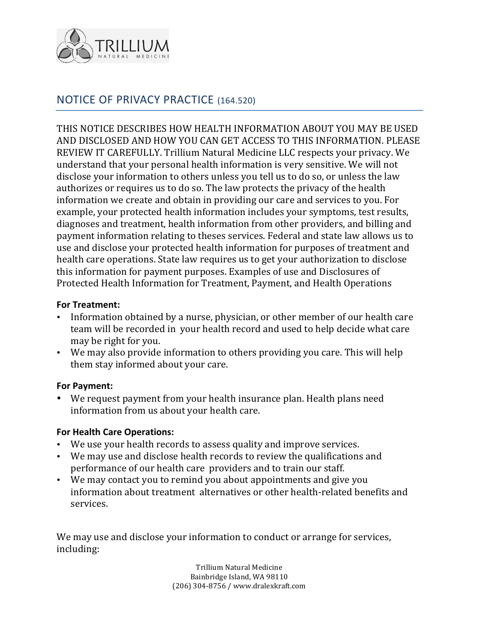

# NOTICE OF PRIVACY PRACTICE (164.520)

THIS NOTICE DESCRIBES HOW HEALTH INFORMATION ABOUT YOU MAY BE USED AND DISCLOSED AND HOW YOU CAN GET ACCESS TO THIS INFORMATION. PLEASE REVIEW IT CAREFULLY. Trillium Natural Medicine LLC respects your privacy. We understand that your personal health information is very sensitive. We will not disclose your information to others unless you tell us to do so, or unless the law authorizes or requires us to do so. The law protects the privacy of the health information we create and obtain in providing our care and services to you. For example, your protected health information includes your symptoms, test results, diagnoses and treatment, health information from other providers, and billing and payment information relating to theses services. Federal and state law allows us to use and disclose your protected health information for purposes of treatment and health care operations. State law requires us to get your authorization to disclose this information for payment purposes. Examples of use and Disclosures of Protected Health Information for Treatment, Payment, and Health Operations

#### **For Treatment:**

- Information obtained by a nurse, physician, or other member of our health care team will be recorded in your health record and used to help decide what care may be right for you.
- We may also provide information to others providing you care. This will help them stay informed about your care.

#### **For Payment:**

• We request payment from your health insurance plan. Health plans need information from us about your health care.

#### **For Health Care Operations:**

- We use your health records to assess quality and improve services.
- We may use and disclose health records to review the qualifications and performance of our health care providers and to train our staff.
- We may contact you to remind you about appointments and give you information about treatment alternatives or other health-related benefits and services.

We may use and disclose your information to conduct or arrange for services, including:

> Trillium Natural Medicine Bainbridge Island, WA 98110 (206) 304-8756 / www.dralexkraft.com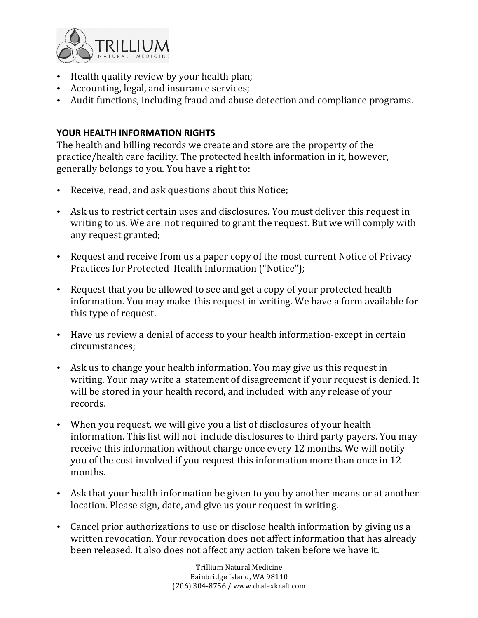

- Health quality review by your health plan;
- Accounting, legal, and insurance services;
- Audit functions, including fraud and abuse detection and compliance programs.

# YOUR HEALTH INFORMATION RIGHTS

The health and billing records we create and store are the property of the practice/health care facility. The protected health information in it, however, generally belongs to you. You have a right to:

- Receive, read, and ask questions about this Notice;
- Ask us to restrict certain uses and disclosures. You must deliver this request in writing to us. We are not required to grant the request. But we will comply with any request granted;
- Request and receive from us a paper copy of the most current Notice of Privacy Practices for Protected Health Information ("Notice");
- Request that you be allowed to see and get a copy of your protected health information. You may make this request in writing. We have a form available for this type of request.
- Have us review a denial of access to your health information-except in certain circumstances;
- Ask us to change your health information. You may give us this request in writing. Your may write a statement of disagreement if your request is denied. It will be stored in your health record, and included with any release of your records.
- When you request, we will give you a list of disclosures of your health information. This list will not include disclosures to third party payers. You may receive this information without charge once every 12 months. We will notify you of the cost involved if you request this information more than once in 12 months.
- Ask that your health information be given to you by another means or at another location. Please sign, date, and give us your request in writing.
- Cancel prior authorizations to use or disclose health information by giving us a written revocation. Your revocation does not affect information that has already been released. It also does not affect any action taken before we have it.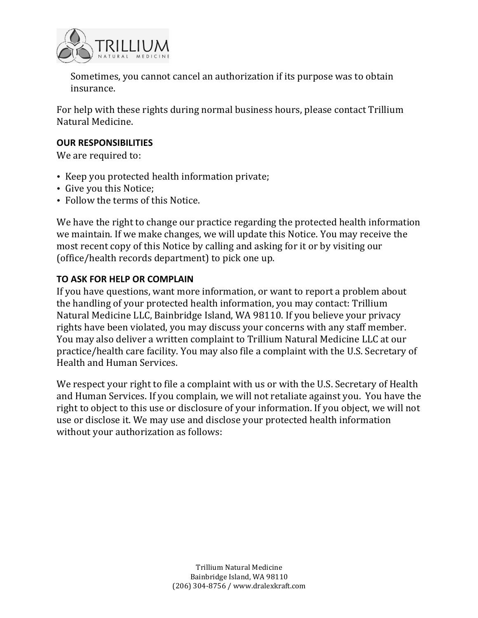

Sometimes, you cannot cancel an authorization if its purpose was to obtain insurance. 

For help with these rights during normal business hours, please contact Trillium Natural Medicine.

#### **OUR RESPONSIBILITIES**

We are required to:

- Keep you protected health information private;
- Give you this Notice;
- Follow the terms of this Notice.

We have the right to change our practice regarding the protected health information we maintain. If we make changes, we will update this Notice. You may receive the most recent copy of this Notice by calling and asking for it or by visiting our (office/health records department) to pick one up.

#### **TO ASK FOR HELP OR COMPLAIN**

If you have questions, want more information, or want to report a problem about the handling of your protected health information, you may contact: Trillium Natural Medicine LLC, Bainbridge Island, WA 98110. If you believe your privacy rights have been violated, you may discuss your concerns with any staff member. You may also deliver a written complaint to Trillium Natural Medicine LLC at our practice/health care facility. You may also file a complaint with the U.S. Secretary of Health and Human Services.

We respect your right to file a complaint with us or with the U.S. Secretary of Health and Human Services. If you complain, we will not retaliate against you. You have the right to object to this use or disclosure of your information. If you object, we will not use or disclose it. We may use and disclose your protected health information without your authorization as follows: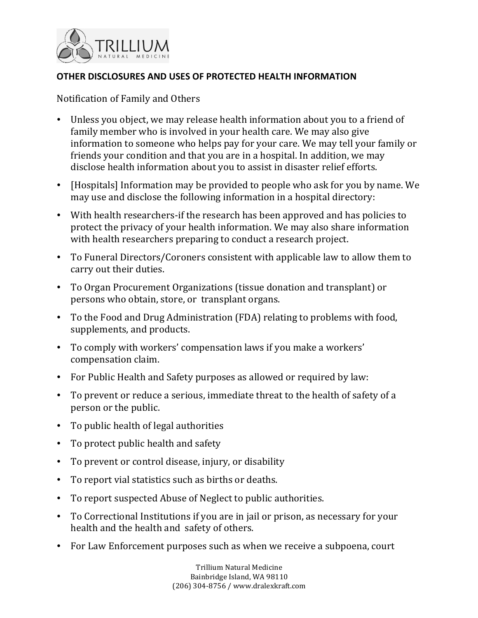

### **OTHER DISCLOSURES AND USES OF PROTECTED HEALTH INFORMATION**

Notification of Family and Others

- Unless you object, we may release health information about you to a friend of family member who is involved in your health care. We may also give information to someone who helps pay for your care. We may tell your family or friends your condition and that you are in a hospital. In addition, we may disclose health information about you to assist in disaster relief efforts.
- [Hospitals] Information may be provided to people who ask for you by name. We may use and disclose the following information in a hospital directory:
- With health researchers-if the research has been approved and has policies to protect the privacy of your health information. We may also share information with health researchers preparing to conduct a research project.
- To Funeral Directors/Coroners consistent with applicable law to allow them to carry out their duties.
- To Organ Procurement Organizations (tissue donation and transplant) or persons who obtain, store, or transplant organs.
- To the Food and Drug Administration (FDA) relating to problems with food, supplements, and products.
- To comply with workers' compensation laws if you make a workers' compensation claim.
- For Public Health and Safety purposes as allowed or required by law:
- To prevent or reduce a serious, immediate threat to the health of safety of a person or the public.
- To public health of legal authorities
- To protect public health and safety
- To prevent or control disease, injury, or disability
- To report vial statistics such as births or deaths.
- To report suspected Abuse of Neglect to public authorities.
- To Correctional Institutions if you are in jail or prison, as necessary for your health and the health and safety of others.
- For Law Enforcement purposes such as when we receive a subpoena, court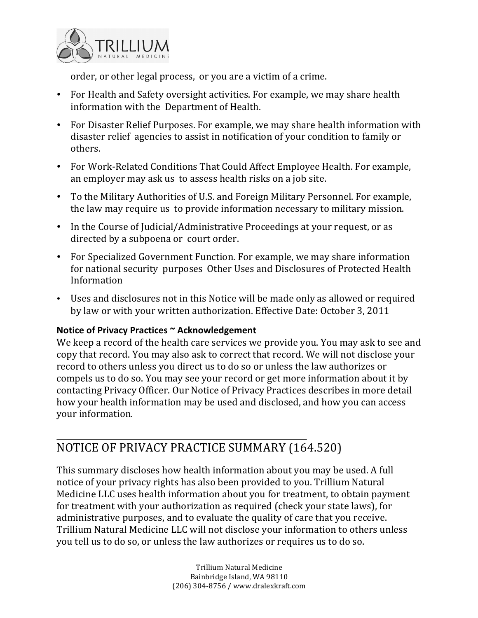

order, or other legal process, or you are a victim of a crime.

- For Health and Safety oversight activities. For example, we may share health information with the Department of Health.
- For Disaster Relief Purposes. For example, we may share health information with disaster relief agencies to assist in notification of your condition to family or others.
- For Work-Related Conditions That Could Affect Employee Health. For example, an employer may ask us to assess health risks on a job site.
- To the Military Authorities of U.S. and Foreign Military Personnel. For example, the law may require us to provide information necessary to military mission.
- In the Course of Judicial/Administrative Proceedings at your request, or as directed by a subpoena or court order.
- For Specialized Government Function. For example, we may share information for national security purposes Other Uses and Disclosures of Protected Health Information
- Uses and disclosures not in this Notice will be made only as allowed or required by law or with your written authorization. Effective Date: October 3, 2011

# Notice of Privacy Practices ~ Acknowledgement

We keep a record of the health care services we provide you. You may ask to see and copy that record. You may also ask to correct that record. We will not disclose your record to others unless you direct us to do so or unless the law authorizes or compels us to do so. You may see your record or get more information about it by contacting Privacy Officer. Our Notice of Privacy Practices describes in more detail how your health information may be used and disclosed, and how you can access your information.

# NOTICE OF PRIVACY PRACTICE SUMMARY (164.520)

This summary discloses how health information about you may be used. A full notice of your privacy rights has also been provided to you. Trillium Natural Medicine LLC uses health information about you for treatment, to obtain payment for treatment with your authorization as required (check your state laws), for administrative purposes, and to evaluate the quality of care that you receive. Trillium Natural Medicine LLC will not disclose your information to others unless you tell us to do so, or unless the law authorizes or requires us to do so.